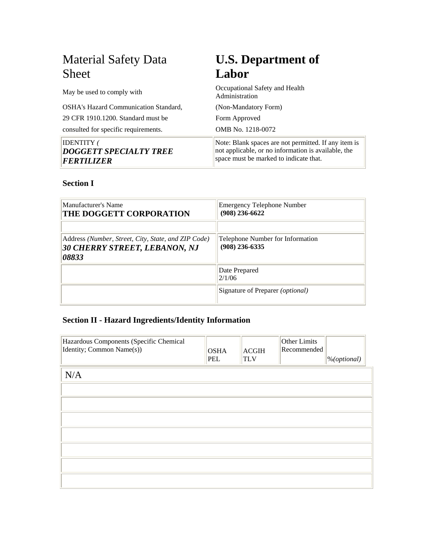| <b>Material Safety Data</b>                                             | <b>U.S. Department of</b>                                                                                                                             |
|-------------------------------------------------------------------------|-------------------------------------------------------------------------------------------------------------------------------------------------------|
| <b>Sheet</b>                                                            | Labor                                                                                                                                                 |
| May be used to comply with                                              | Occupational Safety and Health<br>Administration                                                                                                      |
| OSHA's Hazard Communication Standard,                                   | (Non-Mandatory Form)                                                                                                                                  |
| 29 CFR 1910.1200. Standard must be                                      | Form Approved                                                                                                                                         |
| consulted for specific requirements.                                    | OMB No. 1218-0072                                                                                                                                     |
| <b>IDENTITY</b> (<br><b>DOGGETT SPECIALTY TREE</b><br><b>FERTILIZER</b> | Note: Blank spaces are not permitted. If any item is<br>not applicable, or no information is available, the<br>space must be marked to indicate that. |

#### **Section I**

| Manufacturer's Name<br><b>THE DOGGETT CORPORATION</b>                                         | <b>Emergency Telephone Number</b><br>$(908)$ 236-6622 |
|-----------------------------------------------------------------------------------------------|-------------------------------------------------------|
| Address (Number, Street, City, State, and ZIP Code)<br>30 CHERRY STREET, LEBANON, NJ<br>08833 | Telephone Number for Information<br>$(908)$ 236-6335  |
|                                                                                               | Date Prepared<br>2/1/06                               |
|                                                                                               | Signature of Preparer <i>(optional)</i>               |

# **Section II - Hazard Ingredients/Identity Information**

| Hazardous Components (Specific Chemical<br>Identity; Common Name(s)) | <b>OSHA</b><br>PEL | <b>ACGIH</b><br><b>TLV</b> | Other Limits<br>Recommended | %(optional) |
|----------------------------------------------------------------------|--------------------|----------------------------|-----------------------------|-------------|
| N/A                                                                  |                    |                            |                             |             |
|                                                                      |                    |                            |                             |             |
|                                                                      |                    |                            |                             |             |
|                                                                      |                    |                            |                             |             |
|                                                                      |                    |                            |                             |             |
|                                                                      |                    |                            |                             |             |
|                                                                      |                    |                            |                             |             |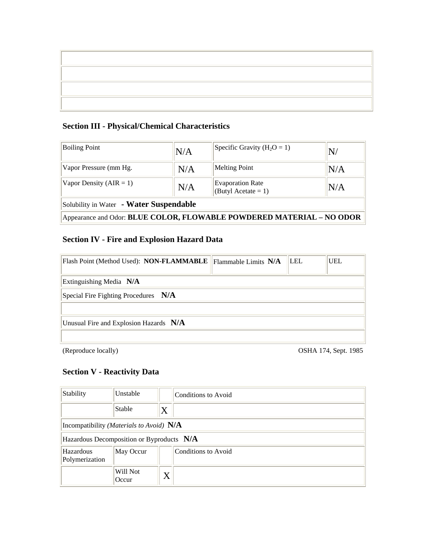## **Section III - Physical/Chemical Characteristics**

| <b>Boiling Point</b>                                                  | N/A | Specific Gravity ( $H_2O = 1$ )                   | N/  |  |
|-----------------------------------------------------------------------|-----|---------------------------------------------------|-----|--|
| Vapor Pressure (mm Hg.                                                | N/A | <b>Melting Point</b>                              | N/A |  |
| Vapor Density $(AIR = 1)$                                             | N/A | <b>Evaporation Rate</b><br>(Butyl Acetate = $1$ ) | N/A |  |
| Solubility in Water - Water Suspendable                               |     |                                                   |     |  |
| Appearance and Odor: BLUE COLOR, FLOWABLE POWDERED MATERIAL - NO ODOR |     |                                                   |     |  |

## **Section IV - Fire and Explosion Hazard Data**

| Flash Point (Method Used): NON-FLAMMABLE   Flammable Limits N/A |  | LEL | <b>UEL</b> |
|-----------------------------------------------------------------|--|-----|------------|
| Extinguishing Media N/A                                         |  |     |            |
| Special Fire Fighting Procedures $N/A$                          |  |     |            |
| Unusual Fire and Explosion Hazards N/A                          |  |     |            |

(Reproduce locally) OSHA 174, Sept. 1985

## **Section V - Reactivity Data**

| Stability                                 | Unstable                                            |         | Conditions to Avoid |  |
|-------------------------------------------|-----------------------------------------------------|---------|---------------------|--|
|                                           | Stable                                              | $\rm X$ |                     |  |
|                                           | Incompatibility ( <i>Materials to Avoid</i> ) $N/A$ |         |                     |  |
| Hazardous Decomposition or Byproducts N/A |                                                     |         |                     |  |
| Hazardous<br>Polymerization               | May Occur                                           |         | Conditions to Avoid |  |
|                                           | Will Not<br>Occur                                   | $\rm X$ |                     |  |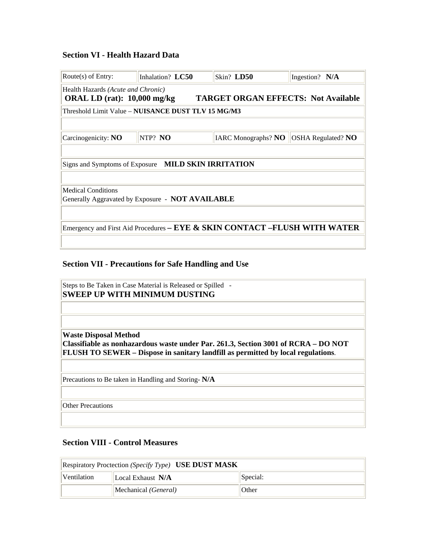#### **Section VI - Health Hazard Data**

| Route $(s)$ of Entry:                                                                                              | Inhalation? LC50                                                           | Skin? LD50                 | Ingestion? N/A            |  |  |
|--------------------------------------------------------------------------------------------------------------------|----------------------------------------------------------------------------|----------------------------|---------------------------|--|--|
| Health Hazards (Acute and Chronic)<br><b>TARGET ORGAN EFFECTS: Not Available</b><br>ORAL LD $(rat)$ : 10,000 mg/kg |                                                                            |                            |                           |  |  |
| Threshold Limit Value - NUISANCE DUST TLV 15 MG/M3                                                                 |                                                                            |                            |                           |  |  |
|                                                                                                                    |                                                                            |                            |                           |  |  |
| Carcinogenicity: $NO$                                                                                              | NTP? NO                                                                    | <b>IARC Monographs? NO</b> | <b>OSHA Regulated? NO</b> |  |  |
|                                                                                                                    |                                                                            |                            |                           |  |  |
| Signs and Symptoms of Exposure MILD SKIN IRRITATION                                                                |                                                                            |                            |                           |  |  |
|                                                                                                                    |                                                                            |                            |                           |  |  |
| <b>Medical Conditions</b>                                                                                          |                                                                            |                            |                           |  |  |
| Generally Aggravated by Exposure - <b>NOT AVAILABLE</b>                                                            |                                                                            |                            |                           |  |  |
|                                                                                                                    |                                                                            |                            |                           |  |  |
|                                                                                                                    | Emergency and First Aid Procedures – EYE & SKIN CONTACT – FLUSH WITH WATER |                            |                           |  |  |
|                                                                                                                    |                                                                            |                            |                           |  |  |

#### **Section VII - Precautions for Safe Handling and Use**

|                              | Steps to Be Taken in Case Material is Released or Spilled -<br><b>SWEEP UP WITH MINIMUM DUSTING</b>                                                                    |
|------------------------------|------------------------------------------------------------------------------------------------------------------------------------------------------------------------|
| <b>Waste Disposal Method</b> | Classifiable as nonhazardous waste under Par. 261.3, Section 3001 of RCRA – DO NOT<br>FLUSH TO SEWER – Dispose in sanitary landfill as permitted by local regulations. |
|                              | Precautions to Be taken in Handling and Storing-N/A                                                                                                                    |
| <b>Other Precautions</b>     |                                                                                                                                                                        |

#### **Section VIII - Control Measures**

| Respiratory Proctection (Specify Type) USE DUST MASK |                             |          |  |
|------------------------------------------------------|-----------------------------|----------|--|
| Ventilation                                          | Local Exhaust N/A           | Special: |  |
|                                                      | Mechanical <i>(General)</i> | Other    |  |